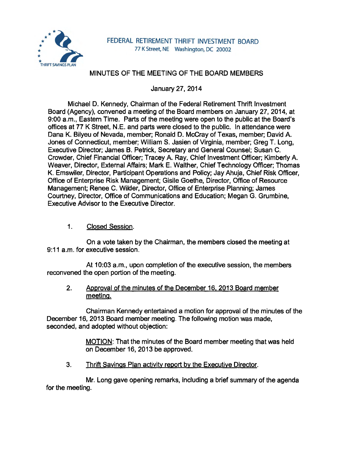

# MINUTES OF THE MEETING OF THE BOARD MEMBERS

January 27, 2014

Michael D. Kennedy, Chairman of the Federal Retirement Thrift Investment Board (Agency), convened a meeting of the Board members on January 27, 2014, at 9:00 a.m., Eastern Time. Parts of the meeting were open to the public at the Board's offices at 77 K Street, N.E. and parts were closed to the public. In attendance were Dana K. Bilyeu of Nevada, member; Ronald D. McCray of Texas, member; David A. Jones of Connecticut, member; William S. Jasien of Virginia, member; Greg T. Long, Executive Director; James B. Petrick, Secretary and General Counsel; Susan C. Crowder, Chief Financial Officer; Tracey A. Ray, Chief Investment Officer; Kimberly A. Weaver, Director, External Affairs; Mark E. Walther, Chief Technology Officer; Thomas K. Emswiler, Director, Participant Operations and Policy; Jay Ahuja, Chief Risk Officer, Office of Enterprise Risk Management; Gisile Goethe, Director, Office of Resource Management; Renee C. Wilder, Director, Office of Enterprise Planning; James Courtney, Director, Office of Communications and Education; Megan G. Grumbine, Executive Advisor to the Executive Director.

1. Closed Session.

On a vote taken by the Chairman, the members closed the meeting at 9:11 a.m. for executive session.

At 10:03 a.m., upon completion of the executive session, the members reconvened the open portion of the meeting.

2. Approval of the minutes of the December 16. 2013 Board member meeting.

Chairman Kennedy entertained a motion for approval of the minutes of the December 16, 2013 Board member meeting. The following motion was made, seconded, and adopted without objection:

> MOTION: That the minutes of the Board member meeting that was held on December 16, 2013 be approved.

3. Thrift Savings Plan activity report by the Executive Director.

Mr. Long gave opening remarks, including a brief summary of the agenda for the meeting.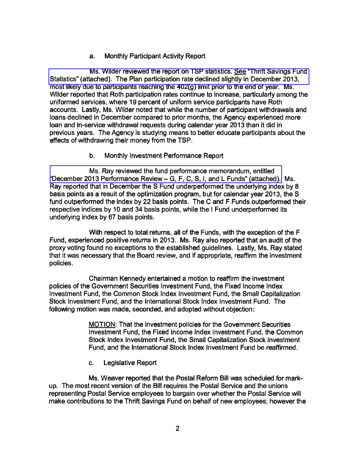## a. Monthly Participant Activity Report

Ms. Wilder reviewed the report on TSP statistics. See "Thrift Savings Fund [Statistics" \(attached\). The Plan participation rate declined slightly in December 2013,](http://www.frtib.gov/pdf/minutes/MM-2014Jan-Att1.pdf)  most likely due to participants reaching the 402(g) limit prior to the end of year. Ms. Wilder reported that Roth participation rates continue to increase, particularly among the uniformed services, where 19 percent of uniform service participants have Roth accounts. Lastly, Ms. Wilder noted that while the number of participant withdrawals and loans declined in December compared to prior months, the Agency experienced more loan and in-service withdrawal requests during calendar year 2013 than it did in previous years. The Agency is studying means to better educate participants about the effects of withdrawing their money from the TSP.

#### b. Monthly Investment Performance Report

[Ms. Ray reviewed the fund performance memorandum, entitled](http://www.frtib.gov/pdf/minutes/MM-2014Jan-Att2.pdf)  "December 2013 Performance Review- G, F, C, S, I, and L Funds" (attached). Ms. Ray reported that in December the S Fund underperformed the underlying index by 8 basis points as a result of the optimization program, but for calendar year 2013, the S fund outperformed the index by 22 basis points. The C and F Funds outperformed their respective indices by 10 and 34 basis points, while the I Fund underperformed its underlying index by 67 basis points.

With respect to total returns, all of the Funds, with the exception of the F Fund, experienced positive returns in 2013. Ms. Ray also reported that an audit of the proxy voting found no exceptions to the established guidelines. Lastly, Ms. Ray stated that it was necessary that the Board review, and if appropriate, reaffirm the investment policies.

Chairman Kennedy entertained a motion to reaffirm the investment policies of the Government Securities Investment Fund, the Fixed Income Index Investment Fund, the Common Stock Index Investment Fund, the Small Capitalization Stock Investment Fund, and the International Stock Index Investment Fund. The following motion was made, seconded, and adopted without objection:

> MOTION: That the investment policies for the Government Securities Investment Fund, the Fixed Income Index Investment Fund, the Common Stock Index Investment Fund, the Small Capitalization Stock Investment Fund, and the International Stock Index Investment Fund be reaffirmed.

c. Legislative Report

Ms. Weaver reported that the Postal Reform Bill was scheduled for markup. The most recent version of the Bill requires the Postal Service and the unions representing Postal Service employees to bargain over whether the Postal Service will make contributions to the Thrift Savings Fund on behalf of new employees; however the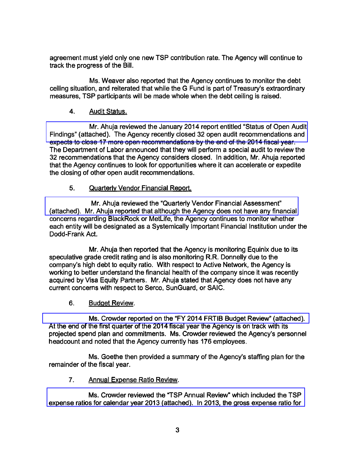agreement must yield only one new TSP contribution rate. The Agency will continue to track the progress of the Bill.

Ms. Weaver also reported that the Agency continues to monitor the debt ceiling situation, and reiterated that while the G Fund is part of Treasury's extraordinary measures, TSP participants will be made whole when the debt ceiling is raised.

## 4. Audit Status.

Mr. Ahuja reviewed the January 2014 report entitled "Status of Open Audit [Findings" \(attached\). The Agency recently closed 32 open audit recommendations and](http://www.frtib.gov/pdf/minutes/MM-2014Jan-Att3.pdf)  expects to close 17 more open recommendations by the end of the 2014 fiscal year. The Department of Labor announced that they will perform a special audit to review the 32 recommendations that the Agency considers closed. In addition, Mr. Ahuja reported that the Agency continues to look for opportunities where it can accelerate or expedite the closing of other open audit recommendations.

## 5. Quarterly Vendor Financial Report.

Mr. Ahuja reviewed the "Quarterly Vendor Financial Assessment" [\(attached\). Mr. Ahuja reported that although the Agency does not have any financial](http://www.frtib.gov/pdf/minutes/MM-2014Jan-Att4.pdf)  concerns regarding BlackRock or MetLife, the Agency continues to monitor whether each entity will be designated as a Systemically Important Financial Institution under the Dodd-Frank Act.

Mr. Ahuja then reported that the Agency is monitoring Equinix due to its speculative grade credit rating and is also monitoring R.R. Donnelly due to the company's high debt to equity ratio. With respect to Active Network, the Agency is working to better understand the financial health of the company since it was recently acquired by Visa Equity Partners. Mr. Ahuja stated that Agency does not have any current concerns with respect to Serco, SunGuard, or SAIC.

6. Budget Review.

[Ms. Crowder reported on the "FY 2014 FRTIB Budget Review" \(attached\).](http://www.frtib.gov/pdf/minutes/MM-2014Jan-Att5.pdf)  At the end of the first quarter of the 2014 fiscal year the Agency is on track with its projected spend plan and commitments. Ms. Crowder reviewed the Agency's personnel headcount and noted that the Agency currently has 176 employees.

Ms. Goethe then provided a summary of the Agency's staffing plan for the remainder of the fiscal year.

7. Annual Expense Ratio Review.

Ms. Crowder reviewed the "TSP Annual Review" which included the TSP [expense ratios for calendar year 2013 \(attached\). In 2013, the gross expense ratio for](http://www.frtib.gov/pdf/minutes/MM-2014Jan-Att6.pdf)